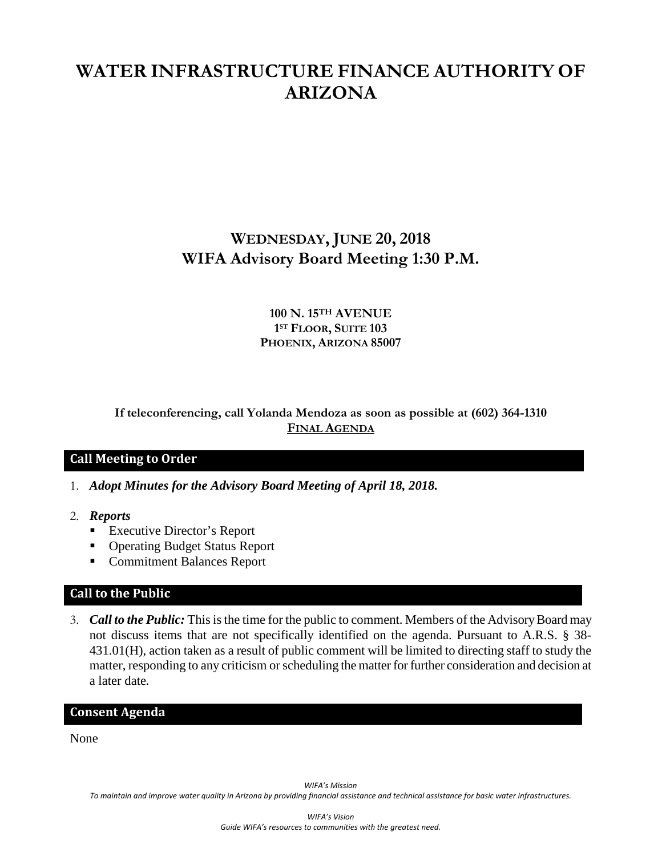# **WATER INFRASTRUCTURE FINANCE AUTHORITY OF ARIZONA**

## **WEDNESDAY, JUNE 20, 2018 WIFA Advisory Board Meeting 1:30 P.M.**

## **100 N. 15TH AVENUE 1ST FLOOR, SUITE 103 PHOENIX, ARIZONA 85007**

## **If teleconferencing, call Yolanda Mendoza as soon as possible at (602) 364-1310 FINAL AGENDA**

## **Call Meeting to Order**

- 1. *Adopt Minutes for the Advisory Board Meeting of April 18, 2018.*
- 2. *Reports*
	- Executive Director's Report
	- Operating Budget Status Report
	- Commitment Balances Report

## **Call to the Public**

3. *Call to the Public:* This is the time for the public to comment. Members of the Advisory Board may not discuss items that are not specifically identified on the agenda. Pursuant to A.R.S. § 38- 431.01(H), action taken as a result of public comment will be limited to directing staff to study the matter, responding to any criticism or scheduling the matter for further consideration and decision at a later date.

#### **Consent Agenda**

None

*WIFA's Mission*

*To maintain and improve water quality in Arizona by providing financial assistance and technical assistance for basic water infrastructures.*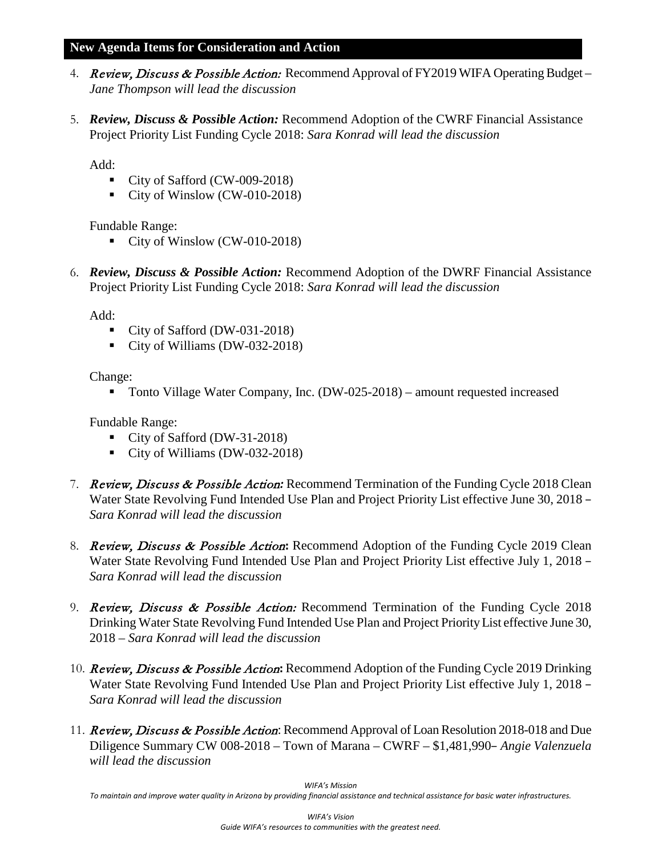### **New Agenda Items for Consideration and Action**

- 4. Review, Discuss & Possible Action: Recommend Approval of FY2019 WIFA Operating Budget *Jane Thompson will lead the discussion*
- 5. *Review, Discuss & Possible Action:* Recommend Adoption of the CWRF Financial Assistance Project Priority List Funding Cycle 2018: *Sara Konrad will lead the discussion*

Add:

- City of Safford (CW-009-2018)
- City of Winslow (CW-010-2018)

Fundable Range:

- City of Winslow (CW-010-2018)
- 6. *Review, Discuss & Possible Action:* Recommend Adoption of the DWRF Financial Assistance Project Priority List Funding Cycle 2018: *Sara Konrad will lead the discussion*

Add:

- City of Safford (DW-031-2018)
- City of Williams (DW-032-2018)

Change:

■ Tonto Village Water Company, Inc. (DW-025-2018) – amount requested increased

Fundable Range:

- City of Safford (DW-31-2018)
- City of Williams (DW-032-2018)
- 7. Review, Discuss & Possible Action*:* Recommend Termination of the Funding Cycle 2018 Clean Water State Revolving Fund Intended Use Plan and Project Priority List effective June 30, 2018 – *Sara Konrad will lead the discussion*
- 8. Review, Discuss & Possible Action**:** Recommend Adoption of the Funding Cycle 2019 Clean Water State Revolving Fund Intended Use Plan and Project Priority List effective July 1, 2018 – *Sara Konrad will lead the discussion*
- 9. Review, Discuss & Possible Action: Recommend Termination of the Funding Cycle 2018 Drinking Water State Revolving Fund Intended Use Plan and Project Priority List effective June 30, 2018 *– Sara Konrad will lead the discussion*
- 10. Review, Discuss & Possible Action**:** Recommend Adoption of the Funding Cycle 2019 Drinking Water State Revolving Fund Intended Use Plan and Project Priority List effective July 1, 2018 – *Sara Konrad will lead the discussion*
- 11. Review, Discuss & Possible Action: Recommend Approval of Loan Resolution 2018-018 and Due Diligence Summary CW 008-2018 – Town of Marana – CWRF – \$1,481,990– *Angie Valenzuela will lead the discussion*

*WIFA's Mission*

*To maintain and improve water quality in Arizona by providing financial assistance and technical assistance for basic water infrastructures.*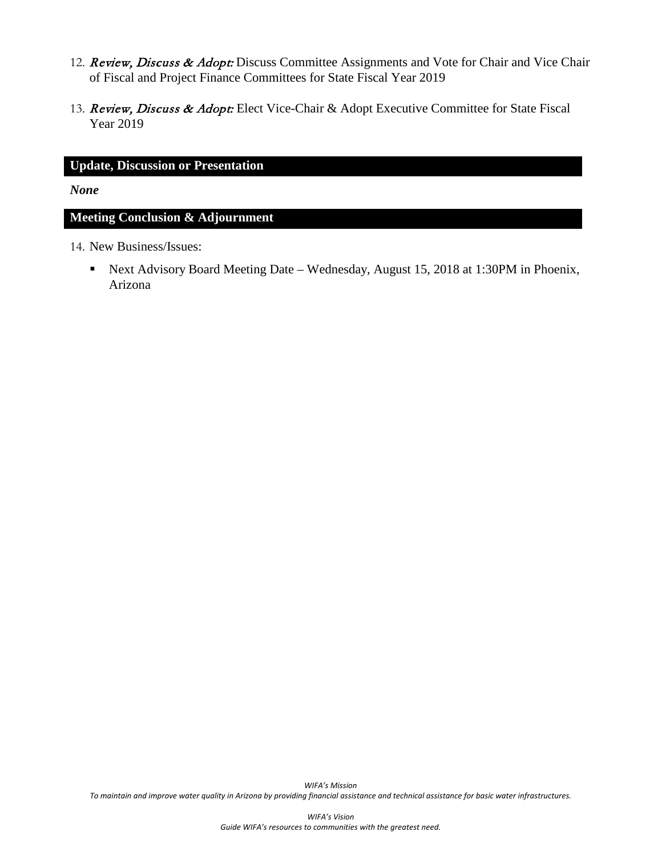- 12. Review, Discuss & Adopt: Discuss Committee Assignments and Vote for Chair and Vice Chair of Fiscal and Project Finance Committees for State Fiscal Year 2019
- 13. Review, Discuss & Adopt: Elect Vice-Chair & Adopt Executive Committee for State Fiscal Year 2019

## **Update, Discussion or Presentation**

*None*

#### **Meeting Conclusion & Adjournment**

- 14. New Business/Issues:
	- Next Advisory Board Meeting Date Wednesday, August 15, 2018 at 1:30PM in Phoenix, Arizona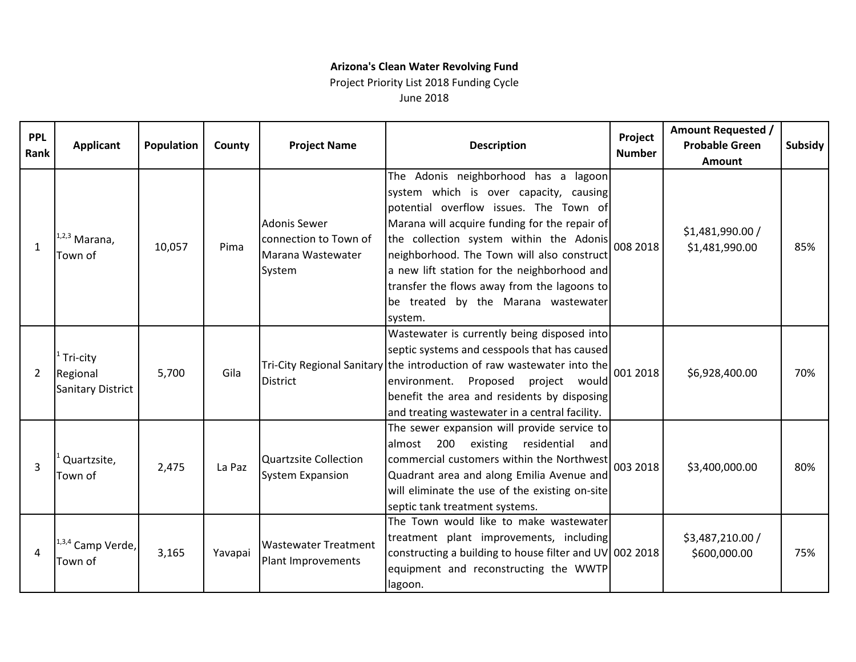## **Arizona's Clean Water Revolving Fund**

## Project Priority List 2018 Funding Cycle June 2018

| <b>PPL</b><br>Rank | <b>Applicant</b>                          | Population | County  | <b>Project Name</b>                                                  | <b>Description</b>                                                                                                                                                                                                                                                                                                                                                                                                          | Project<br><b>Number</b> | <b>Amount Requested /</b><br><b>Probable Green</b><br>Amount | Subsidy |
|--------------------|-------------------------------------------|------------|---------|----------------------------------------------------------------------|-----------------------------------------------------------------------------------------------------------------------------------------------------------------------------------------------------------------------------------------------------------------------------------------------------------------------------------------------------------------------------------------------------------------------------|--------------------------|--------------------------------------------------------------|---------|
| $\mathbf{1}$       | $1,2,3$ Marana,<br>Town of                | 10,057     | Pima    | Adonis Sewer<br>connection to Town of<br>Marana Wastewater<br>System | The Adonis neighborhood has a lagoon<br>system which is over capacity, causing<br>potential overflow issues. The Town of<br>Marana will acquire funding for the repair of<br>the collection system within the Adonis 008 2018<br>neighborhood. The Town will also construct<br>a new lift station for the neighborhood and<br>transfer the flows away from the lagoons to<br>be treated by the Marana wastewater<br>system. |                          | \$1,481,990.00 /<br>\$1,481,990.00                           | 85%     |
| 2                  | Tri-city<br>Regional<br>Sanitary District | 5,700      | Gila    | <b>District</b>                                                      | Wastewater is currently being disposed into<br>septic systems and cesspools that has caused<br>Tri-City Regional Sanitary the introduction of raw wastewater into the<br>environment. Proposed project would<br>benefit the area and residents by disposing<br>and treating wastewater in a central facility.                                                                                                               | 001 2018                 | \$6,928,400.00                                               | 70%     |
| $\overline{3}$     | Quartzsite,<br>Town of                    | 2,475      | La Paz  | <b>Quartzsite Collection</b><br><b>System Expansion</b>              | The sewer expansion will provide service to<br>200<br>existing residential<br>almost<br>andl<br>commercial customers within the Northwest<br>Quadrant area and along Emilia Avenue and<br>will eliminate the use of the existing on-site<br>septic tank treatment systems.                                                                                                                                                  | 003 2018                 | \$3,400,000.00                                               | 80%     |
| 4                  | 1,3,4 Camp Verde,<br>Town of              | 3,165      | Yavapai | <b>Wastewater Treatment</b><br>Plant Improvements                    | The Town would like to make wastewater<br>treatment plant improvements, including<br>constructing a building to house filter and UV 002 2018<br>equipment and reconstructing the WWTP<br>lagoon.                                                                                                                                                                                                                            |                          | \$3,487,210.00 /<br>\$600,000.00                             | 75%     |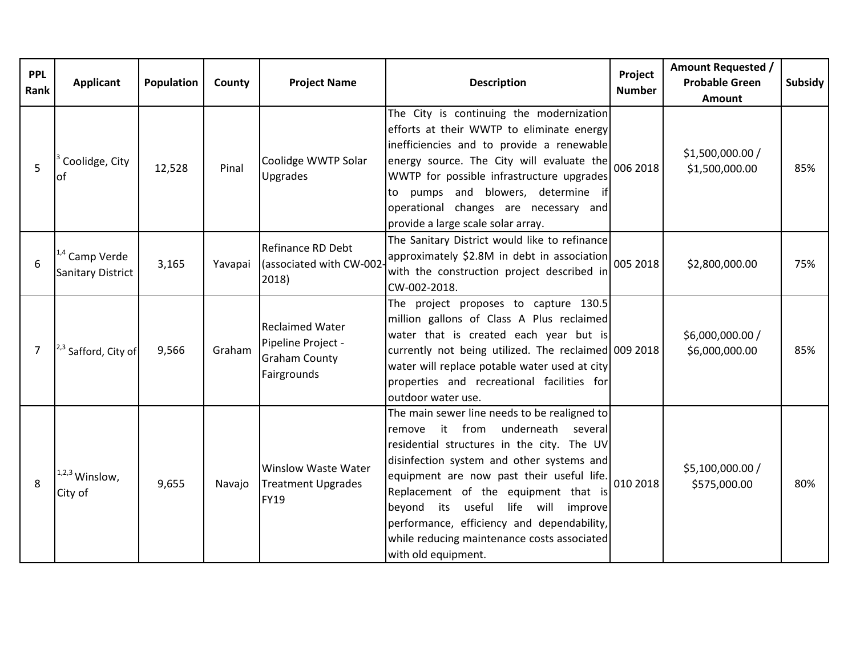| <b>PPL</b><br>Rank | Applicant                                      | Population | County  | <b>Project Name</b>                                                                 | <b>Description</b>                                                                                                                                                                                                                                                                                                                                                                                                                          | Project<br><b>Number</b> | <b>Amount Requested /</b><br><b>Probable Green</b><br><b>Amount</b> | Subsidy |
|--------------------|------------------------------------------------|------------|---------|-------------------------------------------------------------------------------------|---------------------------------------------------------------------------------------------------------------------------------------------------------------------------------------------------------------------------------------------------------------------------------------------------------------------------------------------------------------------------------------------------------------------------------------------|--------------------------|---------------------------------------------------------------------|---------|
| 5                  | Coolidge, City<br>lot                          | 12,528     | Pinal   | Coolidge WWTP Solar<br>Upgrades                                                     | The City is continuing the modernization<br>efforts at their WWTP to eliminate energy<br>inefficiencies and to provide a renewable<br>energy source. The City will evaluate the<br>WWTP for possible infrastructure upgrades<br>to pumps and blowers, determine if<br>operational changes are necessary and<br>provide a large scale solar array.                                                                                           | 006 2018                 | \$1,500,000.00 /<br>\$1,500,000.00                                  | 85%     |
| 6                  | <sup>1,4</sup> Camp Verde<br>Sanitary District | 3,165      | Yavapai | Refinance RD Debt<br>(associated with CW-002<br>2018)                               | The Sanitary District would like to refinance<br>approximately \$2.8M in debt in association<br>with the construction project described in<br>CW-002-2018.                                                                                                                                                                                                                                                                                  | 005 2018                 | \$2,800,000.00                                                      | 75%     |
| 7                  | <sup>2,3</sup> Safford, City of                | 9,566      | Graham  | <b>Reclaimed Water</b><br>Pipeline Project -<br><b>Graham County</b><br>Fairgrounds | The project proposes to capture 130.5<br>million gallons of Class A Plus reclaimed<br>water that is created each year but is<br>currently not being utilized. The reclaimed 009 2018<br>water will replace potable water used at city<br>properties and recreational facilities for<br>outdoor water use.                                                                                                                                   |                          | \$6,000,000.00 /<br>\$6,000,000.00                                  | 85%     |
| 8                  | $1,2,3$ Winslow,<br>City of                    | 9,655      | Navajo  | <b>Winslow Waste Water</b><br><b>Treatment Upgrades</b><br><b>FY19</b>              | The main sewer line needs to be realigned to<br>it from<br>underneath<br>several<br>remove<br>residential structures in the city. The UV<br>disinfection system and other systems and<br>equipment are now past their useful life.<br>Replacement of the equipment that is<br>useful life will<br>beyond its<br>improve<br>performance, efficiency and dependability,<br>while reducing maintenance costs associated<br>with old equipment. | 010 2018                 | \$5,100,000.00 /<br>\$575,000.00                                    | 80%     |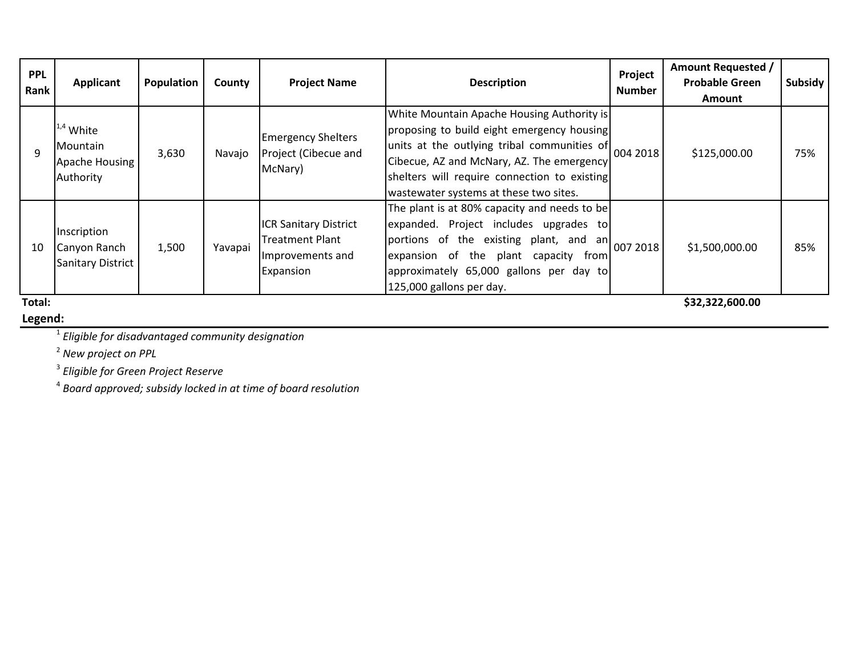| <b>PPL</b> |                                   |            |         | <b>Project Name</b>                                          |                                                      | Project       | <b>Amount Requested /</b> |         |
|------------|-----------------------------------|------------|---------|--------------------------------------------------------------|------------------------------------------------------|---------------|---------------------------|---------|
| Rank       | Applicant                         | Population | County  |                                                              | <b>Description</b>                                   | <b>Number</b> | <b>Probable Green</b>     | Subsidy |
|            |                                   |            |         |                                                              |                                                      |               | <b>Amount</b>             |         |
|            |                                   |            |         |                                                              | White Mountain Apache Housing Authority is           |               |                           | 75%     |
| q          | $1.4$ White                       | 3,630      | Navajo  | <b>Emergency Shelters</b><br>Project (Cibecue and<br>McNary) | proposing to build eight emergency housing           |               |                           |         |
|            | Mountain                          |            |         |                                                              | units at the outlying tribal communities of 004 2018 |               | \$125,000.00              |         |
|            | Apache Housing                    |            |         |                                                              | Cibecue, AZ and McNary, AZ. The emergency            |               |                           |         |
|            | Authority                         |            |         |                                                              | shelters will require connection to existing         |               |                           |         |
|            |                                   |            |         |                                                              | wastewater systems at these two sites.               |               |                           |         |
|            |                                   |            |         | <b>ICR Sanitary District</b>                                 | The plant is at 80% capacity and needs to be         |               |                           |         |
|            |                                   |            |         |                                                              | expanded. Project includes upgrades to               |               |                           |         |
|            | Inscription                       |            |         | Treatment Plant                                              | portions of the existing plant, and an 007 2018      |               |                           |         |
| 10         | Canyon Ranch<br>Sanitary District | 1,500      | Yavapai | Improvements and                                             | expansion of the plant capacity from                 |               | \$1,500,000.00            | 85%     |
|            |                                   |            |         | Expansion                                                    | approximately 65,000 gallons per day to              |               |                           |         |
|            |                                   |            |         |                                                              | 125,000 gallons per day.                             |               |                           |         |
| Total:     |                                   |            |         |                                                              |                                                      |               | \$32,322,600.00           |         |

## **Legend:**

<sup>1</sup> *Eligible for disadvantaged community designation*

<sup>2</sup> *New project on PPL*

<sup>3</sup> *Eligible for Green Project Reserve*

<sup>4</sup> *Board approved; subsidy locked in at time of board resolution*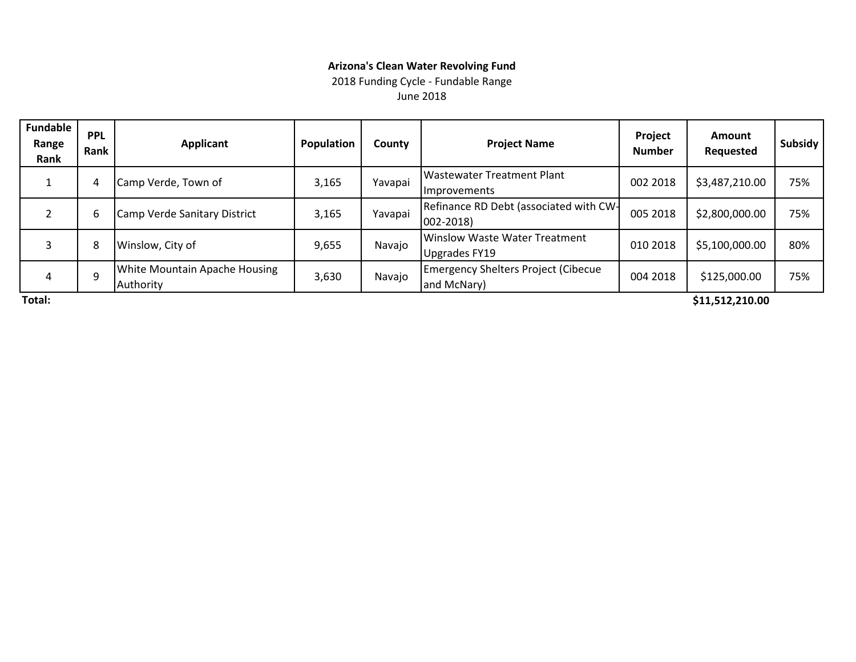## **Arizona's Clean Water Revolving Fund**

2018 Funding Cycle - Fundable Range

June 2018

| <b>Fundable</b><br>Range<br>Rank | <b>PPL</b><br>Rank | <b>Applicant</b>                           | <b>Population</b> | County  | <b>Project Name</b>                                            | <b>Project</b><br><b>Number</b> | <b>Amount</b><br><b>Requested</b> | Subsidy |
|----------------------------------|--------------------|--------------------------------------------|-------------------|---------|----------------------------------------------------------------|---------------------------------|-----------------------------------|---------|
|                                  | 4                  | Camp Verde, Town of                        | 3,165             | Yavapai | <b>IWastewater Treatment Plant</b><br>Improvements             | 002 2018                        | \$3,487,210.00                    | 75%     |
|                                  | 6                  | Camp Verde Sanitary District               | 3,165             | Yavapai | Refinance RD Debt (associated with CW-<br>$ 002 - 2018\rangle$ | 005 2018                        | \$2,800,000.00                    | 75%     |
| 3                                | 8                  | Winslow, City of                           | 9,655             | Navajo  | <b>I</b> Winslow Waste Water Treatment<br>Upgrades FY19        | 010 2018                        | \$5,100,000.00                    | 80%     |
| 4                                | 9                  | White Mountain Apache Housing<br>Authority | 3,630             | Navajo  | <b>Emergency Shelters Project (Cibecue</b><br>and McNary)      | 004 2018                        | \$125,000.00                      | 75%     |
| Total:                           |                    |                                            |                   |         |                                                                |                                 | \$11,512,210.00                   |         |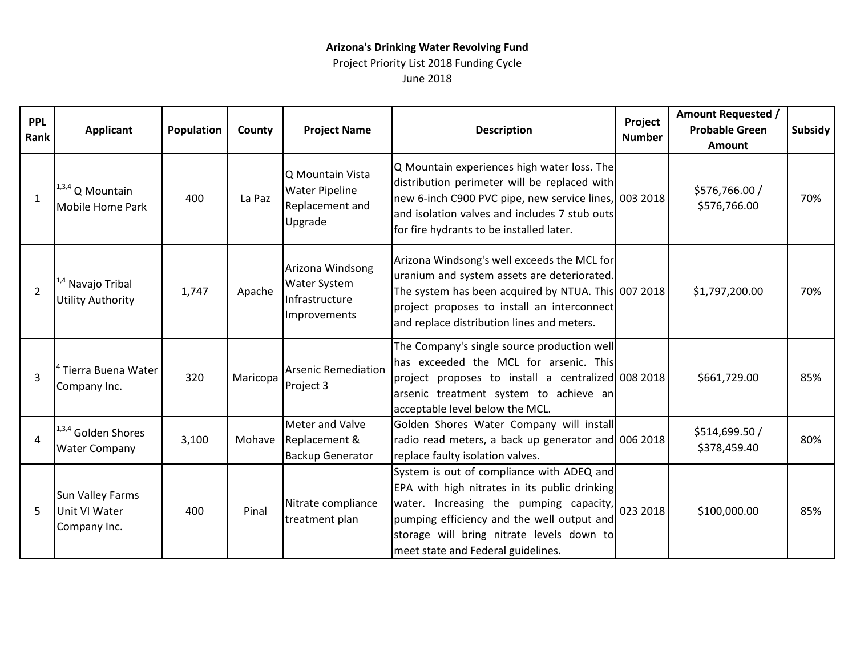## **Arizona's Drinking Water Revolving Fund**

Project Priority List 2018 Funding Cycle June 2018

| <b>PPL</b><br>Rank | <b>Applicant</b>                                         | Population | County   | <b>Project Name</b>                                                       | <b>Description</b>                                                                                                                                                                                                                                                                              | Project<br><b>Number</b> | <b>Amount Requested /</b><br><b>Probable Green</b><br><b>Amount</b> | Subsidy |
|--------------------|----------------------------------------------------------|------------|----------|---------------------------------------------------------------------------|-------------------------------------------------------------------------------------------------------------------------------------------------------------------------------------------------------------------------------------------------------------------------------------------------|--------------------------|---------------------------------------------------------------------|---------|
| $\mathbf{1}$       | $1,3,4$ Q Mountain<br>Mobile Home Park                   | 400        | La Paz   | Q Mountain Vista<br><b>Water Pipeline</b><br>Replacement and<br>Upgrade   | Q Mountain experiences high water loss. The<br>distribution perimeter will be replaced with<br>new 6-inch C900 PVC pipe, new service lines, 003 2018<br>and isolation valves and includes 7 stub outs<br>for fire hydrants to be installed later.                                               |                          | \$576,766.00 /<br>\$576,766.00                                      | 70%     |
| $\overline{2}$     | <sup>1,4</sup> Navajo Tribal<br><b>Utility Authority</b> | 1,747      | Apache   | Arizona Windsong<br><b>Water System</b><br>Infrastructure<br>Improvements | Arizona Windsong's well exceeds the MCL for<br>uranium and system assets are deteriorated.<br>The system has been acquired by NTUA. This 007 2018<br>project proposes to install an interconnect<br>and replace distribution lines and meters.                                                  |                          | \$1,797,200.00                                                      | 70%     |
| $\overline{3}$     | Tierra Buena Water<br>Company Inc.                       | 320        | Maricopa | <b>Arsenic Remediation</b><br>Project 3                                   | The Company's single source production well<br>has exceeded the MCL for arsenic. This<br>project proposes to install a centralized 008 2018<br>arsenic treatment system to achieve an<br>acceptable level below the MCL.                                                                        |                          | \$661,729.00                                                        | 85%     |
| 4                  | 1,3,4 Golden Shores<br><b>Water Company</b>              | 3,100      | Mohave   | Meter and Valve<br>Replacement &<br><b>Backup Generator</b>               | Golden Shores Water Company will install<br>radio read meters, a back up generator and 006 2018<br>replace faulty isolation valves.                                                                                                                                                             |                          | \$514,699.50 /<br>\$378,459.40                                      | 80%     |
| 5                  | <b>Sun Valley Farms</b><br>Unit VI Water<br>Company Inc. | 400        | Pinal    | Nitrate compliance<br>treatment plan                                      | System is out of compliance with ADEQ and<br>EPA with high nitrates in its public drinking<br>water. Increasing the pumping capacity, $\vert_{023\,2018}\vert$<br>pumping efficiency and the well output and<br>storage will bring nitrate levels down to<br>meet state and Federal guidelines. |                          | \$100,000.00                                                        | 85%     |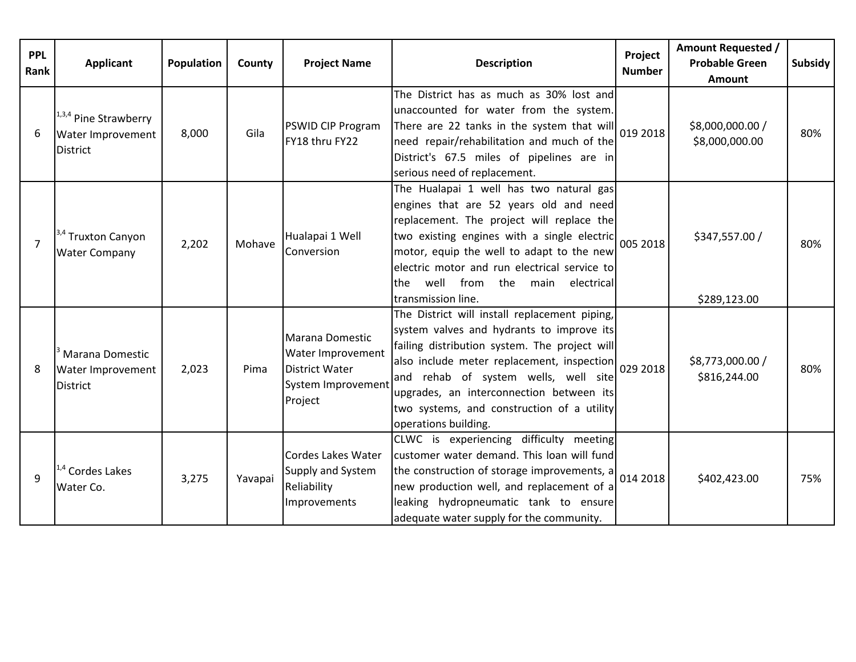| <b>PPL</b><br>Rank | <b>Applicant</b>                                                     | <b>Population</b> | County  | <b>Project Name</b>                                                                     | <b>Description</b>                                                                                                                                                                                                                                                                                                                                           | Project<br><b>Number</b> | <b>Amount Requested /</b><br><b>Probable Green</b><br>Amount | Subsidy |
|--------------------|----------------------------------------------------------------------|-------------------|---------|-----------------------------------------------------------------------------------------|--------------------------------------------------------------------------------------------------------------------------------------------------------------------------------------------------------------------------------------------------------------------------------------------------------------------------------------------------------------|--------------------------|--------------------------------------------------------------|---------|
| 6                  | 1,3,4 Pine Strawberry<br>Water Improvement<br><b>District</b>        | 8,000             | Gila    | <b>PSWID CIP Program</b><br>FY18 thru FY22                                              | The District has as much as 30% lost and<br>unaccounted for water from the system.<br>There are 22 tanks in the system that will $019 2018$<br>need repair/rehabilitation and much of the<br>District's 67.5 miles of pipelines are in<br>serious need of replacement.                                                                                       |                          | \$8,000,000.00 /<br>\$8,000,000.00                           | 80%     |
| $\overline{7}$     | <sup>3,4</sup> Truxton Canyon<br><b>Water Company</b>                | 2,202             | Mohave  | Hualapai 1 Well<br>Conversion                                                           | The Hualapai 1 well has two natural gas<br>engines that are 52 years old and need<br>replacement. The project will replace the<br>two existing engines with a single electric 005 2018<br>motor, equip the well to adapt to the new<br>electric motor and run electrical service to<br>well from<br>lthe<br>the main<br>electrical<br>transmission line.     |                          | \$347,557.00 /<br>\$289,123.00                               | 80%     |
| 8                  | <sup>3</sup> Marana Domestic<br>Water Improvement<br><b>District</b> | 2,023             | Pima    | Marana Domestic<br>Water Improvement<br>District Water<br>System Improvement<br>Project | The District will install replacement piping,<br>system valves and hydrants to improve its<br>failing distribution system. The project will<br>also include meter replacement, inspection 029 2018<br>and rehab of system wells, well site<br>upgrades, an interconnection between its<br>two systems, and construction of a utility<br>operations building. |                          | \$8,773,000.00 /<br>\$816,244.00                             | 80%     |
| 9                  | <sup>4</sup> Cordes Lakes<br>Water Co.                               | 3,275             | Yavapai | Cordes Lakes Water<br>Supply and System<br>Reliability<br>Improvements                  | CLWC is experiencing difficulty meeting<br>customer water demand. This loan will fund<br>the construction of storage improvements, $a\begin{bmatrix} 0.14 & 2018 \end{bmatrix}$<br>new production well, and replacement of a<br>leaking hydropneumatic tank to ensure<br>adequate water supply for the community.                                            |                          | \$402,423.00                                                 | 75%     |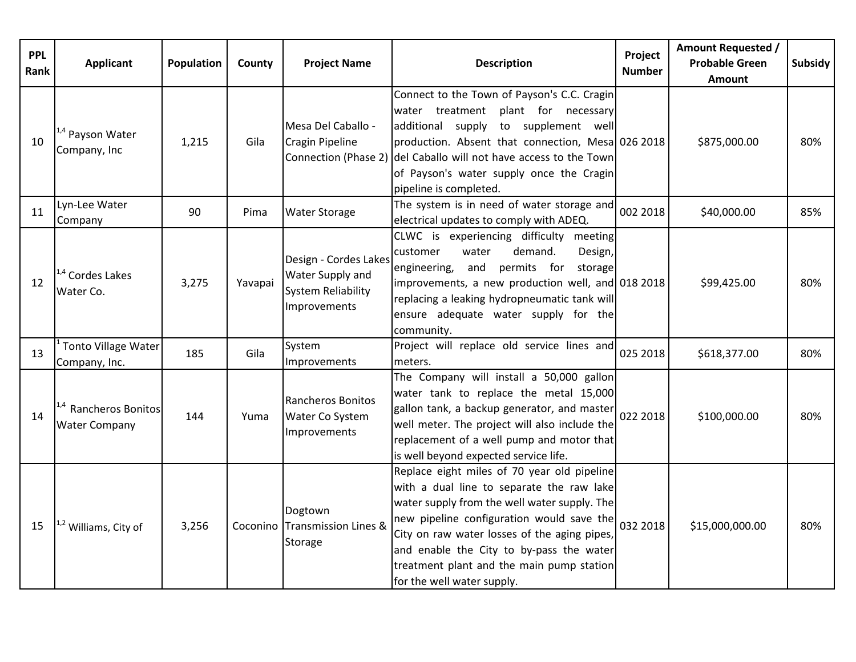| <b>PPL</b><br>Rank | <b>Applicant</b>                                         | Population | County  | <b>Project Name</b>                                                                    | <b>Description</b>                                                                                                                                                                                                                                                                                                                                           | Project<br><b>Number</b> | <b>Amount Requested /</b><br><b>Probable Green</b><br><b>Amount</b> | Subsidy |
|--------------------|----------------------------------------------------------|------------|---------|----------------------------------------------------------------------------------------|--------------------------------------------------------------------------------------------------------------------------------------------------------------------------------------------------------------------------------------------------------------------------------------------------------------------------------------------------------------|--------------------------|---------------------------------------------------------------------|---------|
| 10                 | <sup>1,4</sup> Payson Water<br>Company, Inc              | 1,215      | Gila    | Mesa Del Caballo -<br>Cragin Pipeline                                                  | Connect to the Town of Payson's C.C. Cragin<br>water treatment plant for necessary<br>additional supply to supplement well<br>production. Absent that connection, Mesa 026 2018<br>Connection (Phase 2) del Caballo will not have access to the Town<br>of Payson's water supply once the Cragin<br>pipeline is completed.                                   |                          | \$875,000.00                                                        | 80%     |
| 11                 | Lyn-Lee Water<br>Company                                 | 90         | Pima    | <b>Water Storage</b>                                                                   | The system is in need of water storage and<br>electrical updates to comply with ADEQ.                                                                                                                                                                                                                                                                        | 002 2018                 | \$40,000.00                                                         | 85%     |
| 12                 | <sup>4</sup> Cordes Lakes<br>Water Co.                   | 3,275      | Yavapai | Design - Cordes Lakes<br>Water Supply and<br><b>System Reliability</b><br>Improvements | CLWC is experiencing difficulty meeting<br>customer<br>water<br>demand.<br>Design,<br>permits for<br>and<br>storage<br>engineering,<br>improvements, a new production well, and 018 2018<br>replacing a leaking hydropneumatic tank will<br>ensure adequate water supply for the<br>community.                                                               |                          | \$99,425.00                                                         | 80%     |
| 13                 | Tonto Village Water<br>Company, Inc.                     | 185        | Gila    | System<br>Improvements                                                                 | Project will replace old service lines and<br>meters.                                                                                                                                                                                                                                                                                                        | 025 2018                 | \$618,377.00                                                        | 80%     |
| 14                 | <sup>1,4</sup> Rancheros Bonitos<br><b>Water Company</b> | 144        | Yuma    | Rancheros Bonitos<br>Water Co System<br>Improvements                                   | The Company will install a 50,000 gallon<br>water tank to replace the metal 15,000<br>gallon tank, a backup generator, and master<br>well meter. The project will also include the<br>replacement of a well pump and motor that<br>is well beyond expected service life.                                                                                     | 022 2018                 | \$100,000.00                                                        | 80%     |
| 15                 | <sup>1,2</sup> Williams, City of                         | 3,256      |         | Dogtown<br>Coconino Transmission Lines &<br>Storage                                    | Replace eight miles of 70 year old pipeline<br>with a dual line to separate the raw lake<br>water supply from the well water supply. The<br>new pipeline configuration would save the<br>City on raw water losses of the aging pipes,<br>and enable the City to by-pass the water<br>treatment plant and the main pump station<br>for the well water supply. | 032 2018                 | \$15,000,000.00                                                     | 80%     |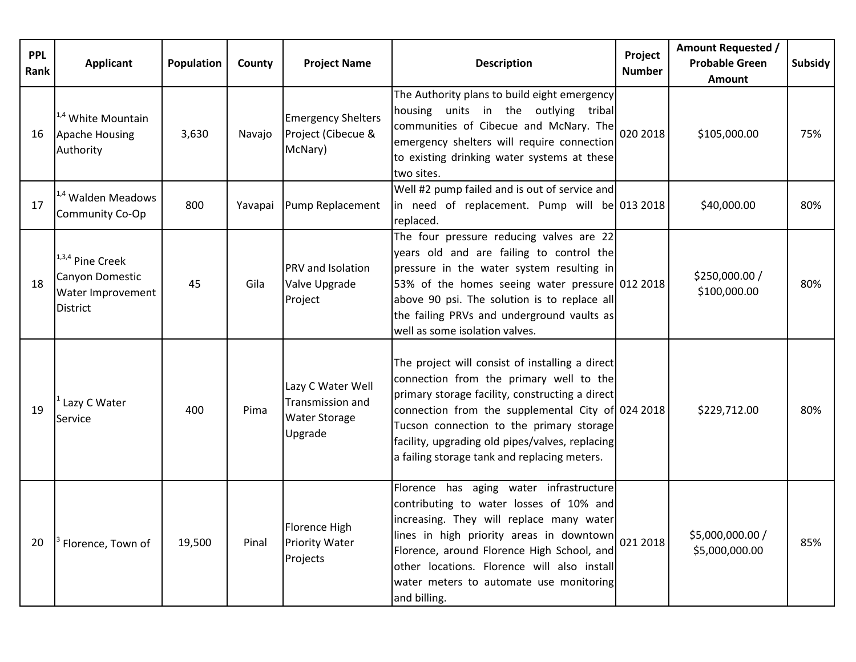| <b>PPL</b><br>Rank | <b>Applicant</b>                                                            | Population | County | <b>Project Name</b>                                                      | <b>Description</b>                                                                                                                                                                                                                                                                                                                                | Project<br><b>Number</b> | <b>Amount Requested /</b><br><b>Probable Green</b><br><b>Amount</b> | <b>Subsidy</b> |
|--------------------|-----------------------------------------------------------------------------|------------|--------|--------------------------------------------------------------------------|---------------------------------------------------------------------------------------------------------------------------------------------------------------------------------------------------------------------------------------------------------------------------------------------------------------------------------------------------|--------------------------|---------------------------------------------------------------------|----------------|
| 16                 | $1.4$ White Mountain<br><b>Apache Housing</b><br>Authority                  | 3,630      | Navajo | <b>Emergency Shelters</b><br>Project (Cibecue &<br>McNary)               | The Authority plans to build eight emergency<br>housing units in the outlying tribal<br>communities of Cibecue and McNary. The $\big _{020\,2018}\big $<br>emergency shelters will require connection<br>to existing drinking water systems at these<br>two sites.                                                                                |                          | \$105,000.00                                                        | 75%            |
| 17                 | <sup>1,4</sup> Walden Meadows<br>Community Co-Op                            | 800        |        | Yavapai Pump Replacement                                                 | Well #2 pump failed and is out of service and<br>in need of replacement. Pump will be 013 2018<br>replaced.                                                                                                                                                                                                                                       |                          | \$40,000.00                                                         | 80%            |
| 18                 | 1,3,4 Pine Creek<br>Canyon Domestic<br>Water Improvement<br><b>District</b> | 45         | Gila   | <b>PRV</b> and Isolation<br>Valve Upgrade<br>Project                     | The four pressure reducing valves are 22<br>years old and are failing to control the<br>pressure in the water system resulting in<br>53% of the homes seeing water pressure 012 2018<br>above 90 psi. The solution is to replace all<br>the failing PRVs and underground vaults as<br>well as some isolation valves.                              |                          | \$250,000.00 /<br>\$100,000.00                                      | 80%            |
| 19                 | Lazy C Water<br>Service                                                     | 400        | Pima   | Lazy C Water Well<br>Transmission and<br><b>Water Storage</b><br>Upgrade | The project will consist of installing a direct<br>connection from the primary well to the<br>primary storage facility, constructing a direct<br>connection from the supplemental City of 024 2018<br>Tucson connection to the primary storage<br>facility, upgrading old pipes/valves, replacing<br>a failing storage tank and replacing meters. |                          | \$229,712.00                                                        | 80%            |
| 20                 | <sup>3</sup> Florence, Town of                                              | 19,500     | Pinal  | Florence High<br><b>Priority Water</b><br>Projects                       | Florence has aging water infrastructure<br>contributing to water losses of 10% and<br>increasing. They will replace many water<br>lines in high priority areas in downtown<br>Florence, around Florence High School, and<br>other locations. Florence will also install<br>water meters to automate use monitoring<br>and billing.                | 021 2018                 | \$5,000,000.00 /<br>\$5,000,000.00                                  | 85%            |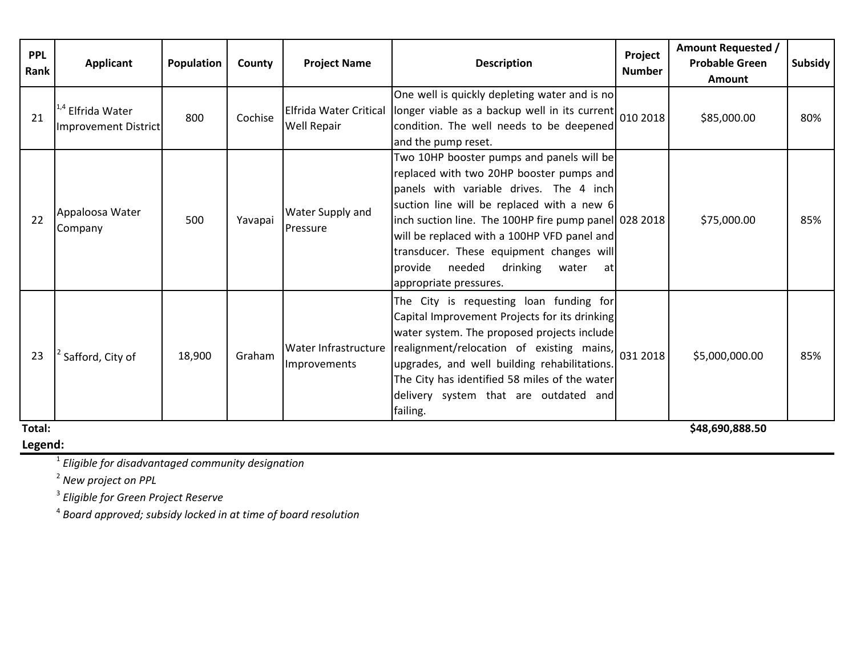| <b>PPL</b><br>Rank | <b>Applicant</b>                                     | Population | County  | <b>Project Name</b>                          | Project<br><b>Description</b><br><b>Number</b>                                                                                                                                                                                                                                                                                                                                                            |  | <b>Amount Requested /</b><br><b>Probable Green</b><br><b>Amount</b> | Subsidy |
|--------------------|------------------------------------------------------|------------|---------|----------------------------------------------|-----------------------------------------------------------------------------------------------------------------------------------------------------------------------------------------------------------------------------------------------------------------------------------------------------------------------------------------------------------------------------------------------------------|--|---------------------------------------------------------------------|---------|
| 21                 | <sup>1,4</sup> Elfrida Water<br>Improvement District | 800        | Cochise | Elfrida Water Critical<br><b>Well Repair</b> | One well is quickly depleting water and is no<br>longer viable as a backup well in its current $ _{010}$ 2018<br>condition. The well needs to be deepened<br>and the pump reset.                                                                                                                                                                                                                          |  | \$85,000.00                                                         | 80%     |
| 22                 | Appaloosa Water<br>Company                           | 500        | Yavapai | Water Supply and<br>Pressure                 | Two 10HP booster pumps and panels will be<br>replaced with two 20HP booster pumps and<br>panels with variable drives. The 4 inch<br>suction line will be replaced with a new 6<br>inch suction line. The 100HP fire pump panel 028 2018<br>will be replaced with a 100HP VFD panel and<br>transducer. These equipment changes will<br>provide needed<br>drinking<br>water<br>at<br>appropriate pressures. |  | \$75,000.00                                                         | 85%     |
| 23                 | Safford, City of                                     | 18,900     | Graham  | <b>Water Infrastructure</b><br>Improvements  | The City is requesting loan funding for<br>Capital Improvement Projects for its drinking<br>water system. The proposed projects include<br>realignment/relocation of existing mains, $\begin{bmatrix} 0.31 & 2018 \end{bmatrix}$<br>upgrades, and well building rehabilitations.<br>The City has identified 58 miles of the water<br>delivery system that are outdated and<br>failing.                    |  | \$5,000,000.00                                                      | 85%     |
| Total:             |                                                      |            |         |                                              |                                                                                                                                                                                                                                                                                                                                                                                                           |  | \$48,690,888.50                                                     |         |

#### **Legend:**

<sup>1</sup> *Eligible for disadvantaged community designation*

<sup>2</sup> *New project on PPL*

<sup>3</sup> *Eligible for Green Project Reserve*

<sup>4</sup> *Board approved; subsidy locked in at time of board resolution*